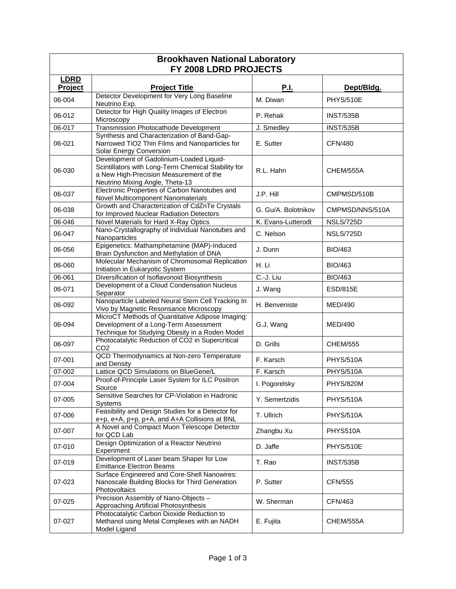| <b>Brookhaven National Laboratory</b><br>FY 2008 LDRD PROJECTS |                                                                                                                                                                               |                     |                  |  |  |
|----------------------------------------------------------------|-------------------------------------------------------------------------------------------------------------------------------------------------------------------------------|---------------------|------------------|--|--|
| <b>LDRD</b><br>Project                                         | <b>Project Title</b>                                                                                                                                                          | <b>P.I.</b>         | Dept/Bldg.       |  |  |
| 06-004                                                         | Detector Development for Very Long Baseline<br>Neutrino Exp.                                                                                                                  | M. Diwan            | PHYS/510E        |  |  |
| 06-012                                                         | Detector for High Quality Images of Electron<br>Microscopy                                                                                                                    | P. Rehak            | <b>INST/535B</b> |  |  |
| 06-017                                                         | <b>Transmission Photocathode Development</b>                                                                                                                                  | J. Smedley          | <b>INST/535B</b> |  |  |
| 06-021                                                         | Synthesis and Characterization of Band-Gap-<br>Narrowed TiO2 Thin Films and Nanoparticles for<br>Solar Energy Conversion                                                      | E. Sutter           | <b>CFN/480</b>   |  |  |
| 06-030                                                         | Development of Gadolinium-Loaded Liquid-<br>Scintillators with Long-Term Chemical Stability for<br>a New High-Precision Measurement of the<br>Neutrino Mixing Angle, Theta-13 | R.L. Hahn           | CHEM/555A        |  |  |
| 06-037                                                         | Electronic Properties of Carbon Nanotubes and<br>Novel Multicomponent Nanomaterials                                                                                           | J.P. Hill           | CMPMSD/510B      |  |  |
| 06-038                                                         | Growth and Characterization of CdZnTe Crystals<br>for Improved Nuclear Radiation Detectors                                                                                    | G. Gu/A. Bolotnikov | CMPMSD/NNS/510A  |  |  |
| 06-046                                                         | Novel Materials for Hard X-Ray Optics                                                                                                                                         | K. Evans-Lutterodt  | NSLS/725D        |  |  |
| 06-047                                                         | Nano-Crystallography of Individual Nanotubes and<br>Nanoparticles                                                                                                             | C. Nelson           | NSLS/725D        |  |  |
| 06-056                                                         | Epigenetics: Mathamphetamine (MAP)-Induced<br>Brain Dysfunction and Methylation of DNA                                                                                        | J. Dunn             | <b>BIO/463</b>   |  |  |
| 06-060                                                         | Molecular Mechanism of Chromosomal Replication<br>Initiation in Eukaryotic System                                                                                             | H. Li               | <b>BIO/463</b>   |  |  |
| 06-061                                                         | Diversification of Isoflavonoid Biosynthesis                                                                                                                                  | C.-J. Liu           | BIO/463          |  |  |
| 06-071                                                         | Development of a Cloud Condensation Nucleus<br>Separator                                                                                                                      | J. Wang             | <b>ESD/815E</b>  |  |  |
| 06-092                                                         | Nanoparticle Labeled Neural Stem Cell Tracking In<br>Vivo by Magnetic Resonsance Microscopy                                                                                   | H. Benveniste       | <b>MED/490</b>   |  |  |
| 06-094                                                         | MicroCT Methods of Quantitative Adipose Imaging:<br>Development of a Long-Term Assessment<br>Technique for Studying Obesity in a Roden Model                                  | G.J. Wang           | MED/490          |  |  |
| 06-097                                                         | Photocatalytic Reduction of CO2 in Supercritical<br>CO <sub>2</sub>                                                                                                           | D. Grills           | <b>CHEM/555</b>  |  |  |
| 07-001                                                         | QCD Thermodynamics at Non-zero Temperature<br>and Density                                                                                                                     | F. Karsch           | <b>PHYS/510A</b> |  |  |
| 07-002                                                         | Lattice QCD Simulations on BlueGene/L                                                                                                                                         | F. Karsch           | PHYS/510A        |  |  |
| 07-004                                                         | Proof-of-Principle Laser System for ILC Positron<br>Source                                                                                                                    | I. Pogorelsky       | <b>PHYS/820M</b> |  |  |
| 07-005                                                         | Sensitive Searches for CP-Violation in Hadronic<br>Systems                                                                                                                    | Y. Semertzidis      | <b>PHYS/510A</b> |  |  |
| 07-006                                                         | Feasibility and Design Studies for a Detector for<br>e+p, e+A, p+p, p+A, and A+A Collisions at BNL                                                                            | T. Ullrich          | <b>PHYS/510A</b> |  |  |
| 07-007                                                         | A Novel and Compact Muon Telescope Detector<br>for QCD Lab                                                                                                                    | Zhangbu Xu          | PHYS510A         |  |  |
| 07-010                                                         | Design Optimization of a Reactor Neutrino<br>Experiment                                                                                                                       | D. Jaffe            | PHYS/510E        |  |  |
| 07-019                                                         | Development of Laser beam Shaper for Low<br><b>Emittance Electron Beams</b>                                                                                                   | T. Rao              | <b>INST/535B</b> |  |  |
| 07-023                                                         | Surface Engineered and Core-Shell Nanowires:<br>Nanoscale Building Blocks for Third Generation<br>Photovoltaics                                                               | P. Sutter           | <b>CFN/555</b>   |  |  |
| 07-025                                                         | Precision Assembly of Nano-Objects -<br>Approaching Artificial Photosynthesis                                                                                                 | W. Sherman          | CFN/463          |  |  |
| 07-027                                                         | Photocatalytic Carbon Dioxide Reduction to<br>Methanol using Metal Complexes with an NADH<br>Model Ligand                                                                     | E. Fujita           | CHEM/555A        |  |  |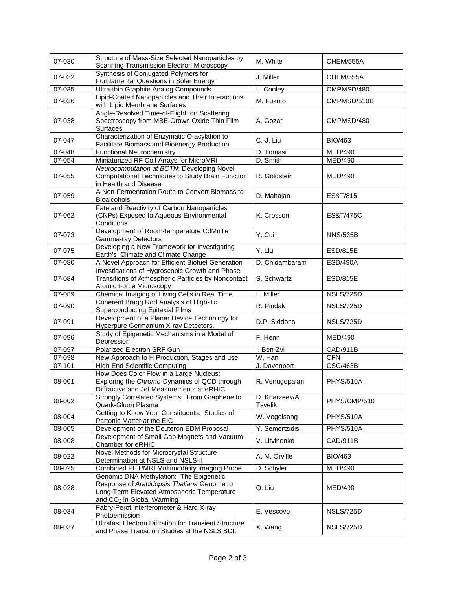| 07-030     | Structure of Mass-Size Selected Nanoparticles by<br>Scanning Transmission Electron Microscopy                                                                                | M. White                         | CHEM/555A        |
|------------|------------------------------------------------------------------------------------------------------------------------------------------------------------------------------|----------------------------------|------------------|
| 07-032     | Synthesis of Conjugated Polymers for<br><b>Fundamental Questions in Solar Energy</b>                                                                                         | J. Miller                        | CHEM/555A        |
| 07-035     | Ultra-thin Graphite Analog Compounds                                                                                                                                         | L. Cooley                        | CMPMSD/480       |
| 07-036     | Lipid-Coated Nanoparticles and Their Interactions<br>with Lipid Membrane Surfaces                                                                                            | M. Fukuto                        | CMPMSD/510B      |
| 07-038     | Angle-Resolved Time-of-Flight Ion Scattering<br>Spectroscopy from MBE-Grown Oxide Thin Film<br>Surfaces                                                                      | A. Gozar                         | CMPMSD/480       |
| 07-047     | Characterization of Enzymatic O-acylation to<br>Facilitate Biomass and Bioenergy Production                                                                                  | C.-J. Liu                        | BIO/463          |
| 07-048     | <b>Functional Neurochemistry</b>                                                                                                                                             | D. Tomasi                        | MED/490          |
| $07 - 054$ | Miniaturized RF Coil Arrays for MicroMRI                                                                                                                                     | D. Smith                         | MED/490          |
| 07-055     | Neurocomputation at BCTN: Developing Novel<br>Computational Techniques to Study Brain Function<br>in Health and Disease                                                      | R. Goldstein                     | MED/490          |
| 07-059     | A Non-Fermentation Route to Convert Biomass to<br><b>Bioalcohols</b>                                                                                                         | D. Mahajan                       | ES&T/815         |
| 07-062     | Fate and Reactivity of Carbon Nanoparticles<br>(CNPs) Exposed to Aqueous Environmental<br>Conditions                                                                         | K. Crosson                       | ES&T/475C        |
| 07-073     | Development of Room-temperature CdMnTe<br>Gamma-ray Detectors                                                                                                                | Y. Cui                           | <b>NNS/535B</b>  |
| 07-075     | Developing a New Framework for Investigating<br>Earth's Climate and Climate Change                                                                                           | Y. Liu                           | <b>ESD/815E</b>  |
| 07-080     | A Novel Approach for Efficient Biofuel Generation                                                                                                                            | D. Chidambaram                   | <b>ESD/490A</b>  |
| 07-084     | Investigations of Hygroscopic Growth and Phase<br>Transitions of Atmospheric Particles by Noncontact<br>Atomic Force Microscopy                                              | S. Schwartz                      | <b>ESD/815E</b>  |
| 07-089     | Chemical Imaging of Living Cells in Real Time                                                                                                                                | L. Miller                        | NSLS/725D        |
| 07-090     | Coherent Bragg Rod Analysis of High-Tc<br><b>Superconducting Epitaxial Films</b>                                                                                             | R. Pindak                        | NSLS/725D        |
| 07-091     | Development of a Planar Device Technology for<br>Hyperpure Germanium X-ray Detectors.                                                                                        | D.P. Siddons                     | NSLS/725D        |
| 07-096     | Study of Epigenetic Mechanisms in a Model of<br>Depression                                                                                                                   | F. Henn                          | <b>MED/490</b>   |
| 07-097     | <b>Polarized Electron SRF Gun</b>                                                                                                                                            | I. Ben-Zvi                       | CAD/911B         |
| 07-098     | New Approach to H Production, Stages and use                                                                                                                                 | W. Han                           | <b>CFN</b>       |
| 07-101     | <b>High End Scientific Computing</b>                                                                                                                                         | J. Davenport                     | <b>CSC/463B</b>  |
| 08-001     | How Does Color Flow in a Large Nucleus:<br>Exploring the Chromo-Dynamics of QCD through<br>Diffractive and Jet Measurements at eRHIC                                         | R. Venugopalan                   | <b>PHYS/510A</b> |
| 08-002     | Strongly Correlated Systems: From Graphene to<br>Quark-Gluon Plasma                                                                                                          | D. Kharzeev/A.<br><b>Tsvelik</b> | PHYS/CMP/510     |
| 08-004     | Getting to Know Your Constituents: Studies of<br>Partonic Matter at the EIC                                                                                                  | W. Vogelsang                     | <b>PHYS/510A</b> |
| 08-005     | Development of the Deuteron EDM Proposal                                                                                                                                     | Y. Semertzidis                   | <b>PHYS/510A</b> |
| 08-008     | Development of Small Gap Magnets and Vacuum<br>Chamber for eRHIC                                                                                                             | V. Litvinenko                    | CAD/911B         |
| 08-022     | Novel Methods for Microcrystal Structure<br>Determination at NSLS and NSLS-II                                                                                                | A. M. Orville                    | <b>BIO/463</b>   |
| 08-025     | Combined PET/MRI Multimodality Imaging Probe                                                                                                                                 | D. Schyler                       | <b>MED/490</b>   |
| 08-028     | Genomic DNA Methylation: The Epigenetic<br>Response of Arabidopsis Thaliana Genome to<br>Long-Term Elevated Atmospheric Temperature<br>and CO <sub>2</sub> in Global Warming | Q. Liu                           | MED/490          |
| 08-034     | Fabry-Perot Interferometer & Hard X-ray<br>Photoemission                                                                                                                     | E. Vescovo                       | NSLS/725D        |
| 08-037     | <b>Ultrafast Electron Diffration for Transient Structure</b><br>and Phase Transition Studies at the NSLS SDL                                                                 | X. Wang                          | NSLS/725D        |